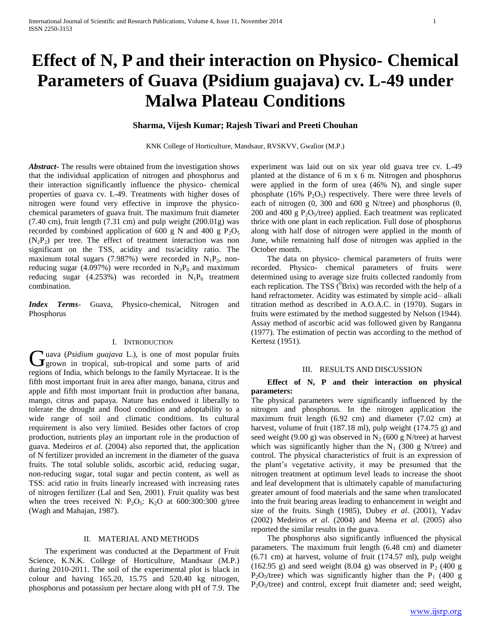# **Effect of N, P and their interaction on Physico- Chemical Parameters of Guava (Psidium guajava) cv. L-49 under Malwa Plateau Conditions**

## **Sharma, Vijesh Kumar; Rajesh Tiwari and Preeti Chouhan**

KNK College of Horticulture, Mandsaur, RVSKVV, Gwalior (M.P.)

*Abstract***-** The results were obtained from the investigation shows that the individual application of nitrogen and phosphorus and their interaction significantly influence the physico- chemical properties of guava cv. L-49. Treatments with higher doses of nitrogen were found very effective in improve the physicochemical parameters of guava fruit. The maximum fruit diameter  $(7.40 \text{ cm})$ , fruit length  $(7.31 \text{ cm})$  and pulp weight  $(200.01g)$  was recorded by combined application of 600 g N and 400 g  $P_2O_5$  $(N_2P_2)$  per tree. The effect of treatment interaction was non significant on the TSS, acidity and tss/acidity ratio. The maximum total sugars (7.987%) were recorded in  $N_1P_2$ , nonreducing sugar (4.097%) were recorded in  $N_2P_0$  and maximum reducing sugar (4.253%) was recorded in  $N_1P_0$  treatment combination.

*Index Terms*- Guava, Physico-chemical, Nitrogen and Phosphorus

## I. INTRODUCTION

uava (*Psidium guajava* L.), is one of most popular fruits Guava (Psidium guajava L.), is one of most popular fruits<br>
grown in tropical, sub-tropical and some parts of arid regions of India, which belongs to the family Myrtaceae. It is the fifth most important fruit in area after mango, banana, citrus and apple and fifth most important fruit in production after banana, mango, citrus and papaya. Nature has endowed it liberally to tolerate the drought and flood condition and adoptability to a wide range of soil and climatic conditions. Its cultural requirement is also very limited. Besides other factors of crop production, nutrients play an important role in the production of guava. Medeiros *et al*. (2004) also reported that, the application of N fertilizer provided an increment in the diameter of the guava fruits. The total soluble solids, ascorbic acid, reducing sugar, non-reducing sugar, total sugar and pectin content, as well as TSS: acid ratio in fruits linearly increased with increasing rates of nitrogen fertilizer (Lal and Sen, 2001). Fruit quality was best when the trees received N:  $P_2O_5$ :  $K_2O$  at 600:300:300 g/tree (Wagh and Mahajan, 1987).

## II. MATERIAL AND METHODS

 The experiment was conducted at the Department of Fruit Science, K.N.K. College of Horticulture, Mandsaur (M.P.) during 2010-2011. The soil of the experimental plot is black in colour and having 165.20, 15.75 and 520.40 kg nitrogen, phosphorus and potassium per hectare along with pH of 7.9. The experiment was laid out on six year old guava tree cv. L-49 planted at the distance of 6 m x 6 m. Nitrogen and phosphorus were applied in the form of urea (46% N), and single super phosphate (16%  $P_2O_5$ ) respectively. There were three levels of each of nitrogen (0, 300 and 600 g N/tree) and phosphorus (0, 200 and 400 g  $P_2O_5$ /tree) applied. Each treatment was replicated thrice with one plant in each replication. Full dose of phosphorus along with half dose of nitrogen were applied in the month of June, while remaining half dose of nitrogen was applied in the October month.

 The data on physico- chemical parameters of fruits were recorded. Physico- chemical parameters of fruits were determined using to average size fruits collected randomly from each replication. The TSS ( $^{0}$ Brix) was recorded with the help of a hand refractometer. Acidity was estimated by simple acid– alkali titration method as described in A.O.A.C. in (1970). Sugars in fruits were estimated by the method suggested by Nelson (1944). Assay method of ascorbic acid was followed given by Ranganna (1977). The estimation of pectin was according to the method of Kertesz (1951).

### III. RESULTS AND DISCUSSION

## **Effect of N, P and their interaction on physical parameters:**

The physical parameters were significantly influenced by the nitrogen and phosphorus. In the nitrogen application the maximum fruit length (6.92 cm) and diameter (7.02 cm) at harvest, volume of fruit (187.18 ml), pulp weight (174.75 g) and seed weight (9.00 g) was observed in N<sub>2</sub> (600 g N/tree) at harvest which was significantly higher than the  $N_1$  (300 g N/tree) and control. The physical characteristics of fruit is an expression of the plant's vegetative activity, it may be presumed that the nitrogen treatment at optimum level leads to increase the shoot and leaf development that is ultimately capable of manufacturing greater amount of food materials and the same when translocated into the fruit bearing areas leading to enhancement in weight and size of the fruits. Singh (1985), Dubey *et al*. (2001), Yadav (2002) Medeiros *et al*. (2004) and Meena *et al*. (2005) also reported the similar results in the guava.

 The phosphorus also significantly influenced the physical parameters. The maximum fruit length (6.48 cm) and diameter (6.71 cm) at harvest, volume of fruit (174.57 ml), pulp weight (162.95 g) and seed weight (8.04 g) was observed in  $P_2$  (400 g)  $P_2O_5$ /tree) which was significantly higher than the  $P_1$  (400 g  $P_2O_5$ /tree) and control, except fruit diameter and; seed weight,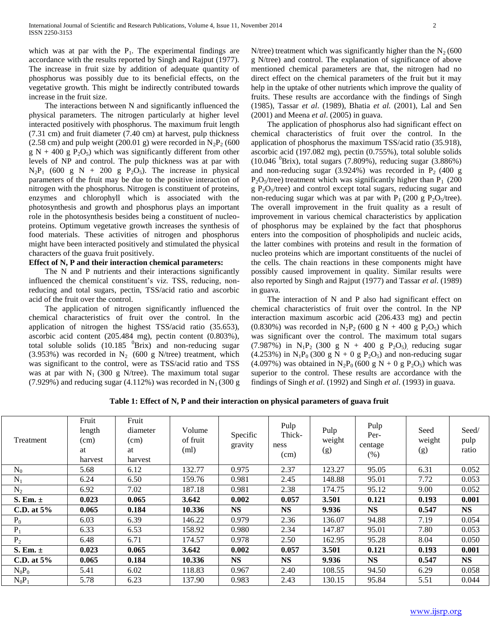which was at par with the  $P_1$ . The experimental findings are accordance with the results reported by Singh and Rajput (1977). The increase in fruit size by addition of adequate quantity of phosphorus was possibly due to its beneficial effects, on the vegetative growth. This might be indirectly contributed towards increase in the fruit size.

 The interactions between N and significantly influenced the physical parameters. The nitrogen particularly at higher level interacted positively with phosphorus. The maximum fruit length (7.31 cm) and fruit diameter (7.40 cm) at harvest, pulp thickness (2.58 cm) and pulp weight (200.01 g) were recorded in  $N_2P_2$  (600  $g N + 400 g P_2O_5$  which was significantly different from other levels of NP and control. The pulp thickness was at par with  $N_2P_1$  (600 g N + 200 g P<sub>2</sub>O<sub>5</sub>). The increase in physical parameters of the fruit may be due to the positive interaction of nitrogen with the phosphorus. Nitrogen is constituent of proteins, enzymes and chlorophyll which is associated with the photosynthesis and growth and phosphorus plays an important role in the photosynthesis besides being a constituent of nucleoproteins. Optimum vegetative growth increases the synthesis of food materials. These activities of nitrogen and phosphorus might have been interacted positively and stimulated the physical characters of the guava fruit positively.

## **Effect of N, P and their interaction chemical parameters:**

The N and P nutrients and their interactions significantly influenced the chemical constituent's viz. TSS, reducing, nonreducing and total sugars, pectin, TSS/acid ratio and ascorbic acid of the fruit over the control.

 The application of nitrogen significantly influenced the chemical characteristics of fruit over the control. In the application of nitrogen the highest TSS/acid ratio (35.653), ascorbic acid content (205.484 mg), pectin content (0.803%), total soluble solids  $(10.185 \text{ }\text{Brix})$  and non-reducing sugar (3.953%) was recorded in  $N_2$  (600 g N/tree) treatment, which was significant to the control, were as TSS/acid ratio and TSS was at par with  $N_1$  (300 g N/tree). The maximum total sugar (7.929%) and reducing sugar (4.112%) was recorded in  $N_1$  (300 g

N/tree) treatment which was significantly higher than the  $N_2$  (600 g N/tree) and control. The explanation of significance of above mentioned chemical parameters are that, the nitrogen had no direct effect on the chemical parameters of the fruit but it may help in the uptake of other nutrients which improve the quality of fruits. These results are accordance with the findings of Singh (1985), Tassar *et al*. (1989), Bhatia *et al.* (2001), Lal and Sen (2001) and Meena *et al*. (2005) in guava.

 The application of phosphorus also had significant effect on chemical characteristics of fruit over the control. In the application of phosphorus the maximum TSS/acid ratio (35.918), ascorbic acid (197.082 mg), pectin (0.755%), total soluble solids  $(10.046 \text{ }^{0}Brix)$ , total sugars  $(7.809\%)$ , reducing sugar  $(3.886\%)$ and non-reducing sugar (3.924%) was recorded in  $P_2$  (400 g  $P_2O_5$ /tree) treatment which was significantly higher than  $P_1$  (200  $g P_2O<sub>5</sub>/tree$ ) and control except total sugars, reducing sugar and non-reducing sugar which was at par with  $P_1$  (200 g  $P_2O_5$ /tree). The overall improvement in the fruit quality as a result of improvement in various chemical characteristics by application of phosphorus may be explained by the fact that phosphorus enters into the composition of phospholipids and nucleic acids, the latter combines with proteins and result in the formation of nucleo proteins which are important constituents of the nuclei of the cells. The chain reactions in these components might have possibly caused improvement in quality. Similar results were also reported by Singh and Rajput (1977) and Tassar *et al*. (1989) in guava.

 The interaction of N and P also had significant effect on chemical characteristics of fruit over the control. In the NP interaction maximum ascorbic acid (206.433 mg) and pectin  $(0.830\%)$  was recorded in N<sub>2</sub>P<sub>2</sub> (600 g N + 400 g P<sub>2</sub>O<sub>5</sub>) which was significant over the control. The maximum total sugars (7.987%) in N<sub>1</sub>P<sub>2</sub> (300 g N + 400 g P<sub>2</sub>O<sub>5</sub>) reducing sugar  $(4.253\%)$  in N<sub>1</sub>P<sub>0</sub> (300 g N + 0 g P<sub>2</sub>O<sub>5</sub>) and non-reducing sugar (4.097%) was obtained in N<sub>2</sub>P<sub>0</sub> (600 g N + 0 g P<sub>2</sub>O<sub>5</sub>) which was superior to the control. These results are accordance with the findings of Singh *et al*. (1992) and Singh *et al*. (1993) in guava.

**Table 1: Effect of N, P and their interaction on physical parameters of guava fruit**

| Treatment     | Fruit<br>length<br>(cm)<br>at<br>harvest | Fruit<br>diameter<br>(cm)<br>at<br>harvest | Volume<br>of fruit<br>(ml) | Specific<br>gravity | Pulp<br>Thick-<br>ness<br>(cm) | Pulp<br>weight<br>(g) | Pulp<br>Per-<br>centage<br>(% ) | Seed<br>weight<br>(g) | Seed/<br>pulp<br>ratio |
|---------------|------------------------------------------|--------------------------------------------|----------------------------|---------------------|--------------------------------|-----------------------|---------------------------------|-----------------------|------------------------|
| $\rm N_0$     | 5.68                                     | 6.12                                       | 132.77                     | 0.975               | 2.37                           | 123.27                | 95.05                           | 6.31                  | 0.052                  |
| $N_1$         | 6.24                                     | 6.50                                       | 159.76                     | 0.981               | 2.45                           | 148.88                | 95.01                           | 7.72                  | 0.053                  |
| $N_2$         | 6.92                                     | 7.02                                       | 187.18                     | 0.981               | 2.38                           | 174.75                | 95.12                           | 9.00                  | 0.052                  |
| S. Em. $\pm$  | 0.023                                    | 0.065                                      | 3.642                      | 0.002               | 0.057                          | 3.501                 | 0.121                           | 0.193                 | 0.001                  |
| C.D. at $5\%$ | 0.065                                    | 0.184                                      | 10.336                     | <b>NS</b>           | <b>NS</b>                      | 9.936                 | <b>NS</b>                       | 0.547                 | <b>NS</b>              |
| $P_0$         | 6.03                                     | 6.39                                       | 146.22                     | 0.979               | 2.36                           | 136.07                | 94.88                           | 7.19                  | 0.054                  |
| $P_1$         | 6.33                                     | 6.53                                       | 158.92                     | 0.980               | 2.34                           | 147.87                | 95.01                           | 7.80                  | 0.053                  |
| $P_2$         | 6.48                                     | 6.71                                       | 174.57                     | 0.978               | 2.50                           | 162.95                | 95.28                           | 8.04                  | 0.050                  |
| S. Em. $\pm$  | 0.023                                    | 0.065                                      | 3.642                      | 0.002               | 0.057                          | 3.501                 | 0.121                           | 0.193                 | 0.001                  |
| C.D. at $5\%$ | 0.065                                    | 0.184                                      | 10.336                     | <b>NS</b>           | <b>NS</b>                      | 9.936                 | <b>NS</b>                       | 0.547                 | <b>NS</b>              |
| $N_0P_0$      | 5.41                                     | 6.02                                       | 118.83                     | 0.967               | 2.40                           | 108.55                | 94.50                           | 6.29                  | 0.058                  |
| $N_0P_1$      | 5.78                                     | 6.23                                       | 137.90                     | 0.983               | 2.43                           | 130.15                | 95.84                           | 5.51                  | 0.044                  |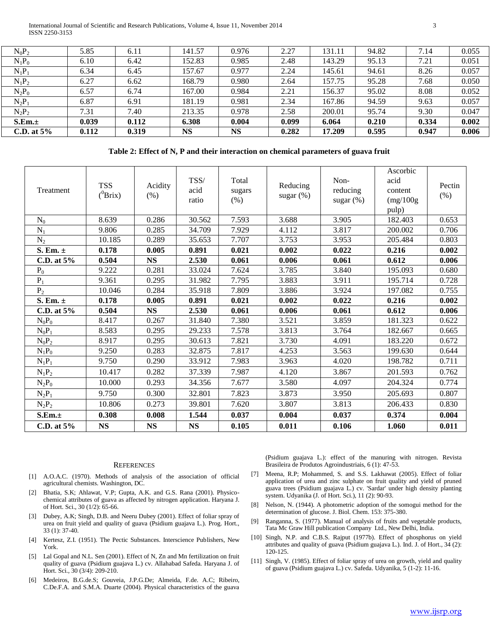International Journal of Scientific and Research Publications, Volume 4, Issue 11, November 2014 3 ISSN 2250-3153

| 0.051<br>0.057<br>0.050 |
|-------------------------|
|                         |
|                         |
|                         |
| 0.052                   |
| 0.057                   |
| 0.047                   |
| 0.002                   |
| 0.006                   |
|                         |

**Table 2: Effect of N, P and their interaction on chemical parameters of guava fruit**

| Treatment      | <b>TSS</b><br>$(^0\text{Brix})$ | Acidity<br>(% ) | TSS/<br>acid<br>ratio | Total<br>sugars<br>(% ) | Reducing<br>sugar $(\%)$ | Non-<br>reducing<br>sugar $(\%)$ | Ascorbic<br>acid<br>content<br>(mg/100g)<br>pulp) | Pectin<br>$(\% )$ |
|----------------|---------------------------------|-----------------|-----------------------|-------------------------|--------------------------|----------------------------------|---------------------------------------------------|-------------------|
| $N_0$          | 8.639                           | 0.286           | 30.562                | 7.593                   | 3.688                    | 3.905                            | 182.403                                           | 0.653             |
| $N_1$          | 9.806                           | 0.285           | 34.709                | 7.929                   | 4.112                    | 3.817                            | 200.002                                           | 0.706             |
| $N_2$          | 10.185                          | 0.289           | 35.653                | 7.707                   | 3.753                    | 3.953                            | 205.484                                           | 0.803             |
| S. Em. $\pm$   | 0.178                           | 0.005           | 0.891                 | 0.021                   | 0.002                    | 0.022                            | 0.216                                             | 0.002             |
| C.D. at $5%$   | 0.504                           | <b>NS</b>       | 2.530                 | 0.061                   | 0.006                    | 0.061                            | 0.612                                             | 0.006             |
| $P_0$          | 9.222                           | 0.281           | 33.024                | 7.624                   | 3.785                    | 3.840                            | 195.093                                           | 0.680             |
| $P_1$          | 9.361                           | 0.295           | 31.982                | 7.795                   | 3.883                    | 3.911                            | 195.714                                           | 0.728             |
| P <sub>2</sub> | 10.046                          | 0.284           | 35.918                | 7.809                   | 3.886                    | 3.924                            | 197.082                                           | 0.755             |
| S. Em. $\pm$   | 0.178                           | 0.005           | 0.891                 | 0.021                   | 0.002                    | 0.022                            | 0.216                                             | 0.002             |
| C.D. at $5%$   | 0.504                           | <b>NS</b>       | 2.530                 | 0.061                   | 0.006                    | 0.061                            | 0.612                                             | 0.006             |
| $N_0P_0$       | 8.417                           | 0.267           | 31.840                | 7.380                   | 3.521                    | 3.859                            | 181.323                                           | 0.622             |
| $N_0P_1$       | 8.583                           | 0.295           | 29.233                | 7.578                   | 3.813                    | 3.764                            | 182.667                                           | 0.665             |
| $N_0P_2$       | 8.917                           | 0.295           | 30.613                | 7.821                   | 3.730                    | 4.091                            | 183.220                                           | 0.672             |
| $N_1P_0$       | 9.250                           | 0.283           | 32.875                | 7.817                   | 4.253                    | 3.563                            | 199.630                                           | 0.644             |
| $N_1P_1$       | 9.750                           | 0.290           | 33.912                | 7.983                   | 3.963                    | 4.020                            | 198.782                                           | 0.711             |
| $N_1P_2$       | 10.417                          | 0.282           | 37.339                | 7.987                   | 4.120                    | 3.867                            | 201.593                                           | 0.762             |
| $N_2P_0$       | 10.000                          | 0.293           | 34.356                | 7.677                   | 3.580                    | 4.097                            | 204.324                                           | 0.774             |
| $N_2P_1$       | 9.750                           | 0.300           | 32.801                | 7.823                   | 3.873                    | 3.950                            | 205.693                                           | 0.807             |
| $N_2P_2$       | 10.806                          | 0.273           | 39.801                | 7.620                   | 3.807                    | 3.813                            | 206.433                                           | 0.830             |
| S.Em.±         | 0.308                           | 0.008           | 1.544                 | 0.037                   | 0.004                    | 0.037                            | 0.374                                             | 0.004             |
| C.D. at $5%$   | <b>NS</b>                       | <b>NS</b>       | <b>NS</b>             | 0.105                   | 0.011                    | 0.106                            | 1.060                                             | 0.011             |

#### **REFERENCES**

- [1] A.O.A.C. (1970). Methods of analysis of the association of official agricultural chemists. Washington, DC.
- [2] Bhatia, S.K; Ahlawat, V.P; Gupta, A.K. and G.S. Rana (2001). Physicochemical attributes of guava as affected by nitrogen application. Haryana J. of Hort. Sci., 30 (1/2): 65-66.
- [3] Dubey, A.K; Singh, D.B. and Neeru Dubey (2001). Effect of foliar spray of urea on fruit yield and quality of guava (Psidium guajava L.). Prog. Hort., 33 (1): 37-40.
- [4] Kertesz, Z.I. (1951). The Pectic Substances. Interscience Publishers, New York.
- [5] Lal Gopal and N.L. Sen (2001). Effect of N, Zn and Mn fertilization on fruit quality of guava (Psidium guajava L.) cv. Allahabad Safeda. Haryana J. of Hort. Sci., 30 (3/4): 209-210.
- [6] Medeiros, B.G.de.S; Gouveia, J.P.G.De; Almeida, F.de. A.C; Ribeiro, C.De.F.A. and S.M.A. Duarte (2004). Physical characteristics of the guava

(Psidium guajava L.): effect of the manuring with nitrogen. Revista Brasileira de Produtos Agroindustriais, 6 (1): 47-53.

- [7] Meena, R.P; Mohammed, S. and S.S. Lakhawat (2005). Effect of foliar application of urea and zinc sulphate on fruit quality and yield of pruned guava trees (Psidium guajava L.) cv. 'Sardar' under high density planting system. Udyanika (J. of Hort. Sci.), 11 (2): 90-93.
- [8] Nelson, N. (1944). A photometric adoption of the somogui method for the determination of glucose. J. Biol. Chem. 153: 375-380.
- [9] Ranganna, S. (1977). Manual of analysis of fruits and vegetable products, Tata Mc Graw Hill publication Company Ltd., New Delhi, India.
- [10] Singh, N.P. and C.B.S. Rajput (1977b). Effect of phosphorus on yield attributes and quality of guava (Psidium guajava L.). Ind. J. of Hort., 34 (2): 120-125.
- [11] Singh, V. (1985). Effect of foliar spray of urea on growth, yield and quality of guava (Psidium guajava L.) cv. Safeda. Udyanika, 5 (1-2): 11-16.